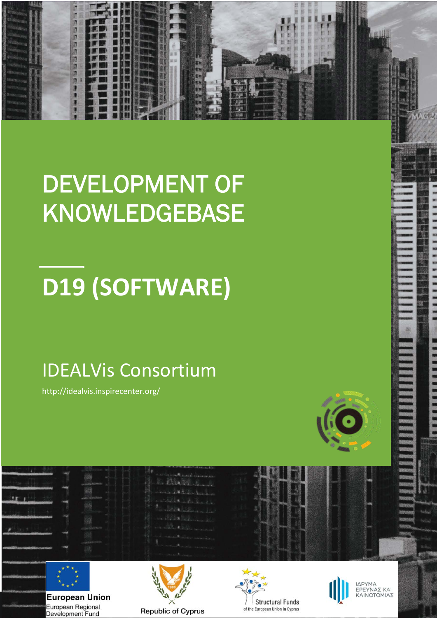# **1** 不见的男子不久

## DEVELOPMENT OF KNOWLEDGEBASE

## **D19 (SOFTWARE)**

## IDEALVis Consortium

http://idealvis.inspirecenter.org/





**European Union** European Regional Development Fund







ΙΔΡΥΜΑ<br>ΕΡΕΥΝΑΣ ΚΑΙ ΚΑΙΝΟΤΟΜΙΑΣ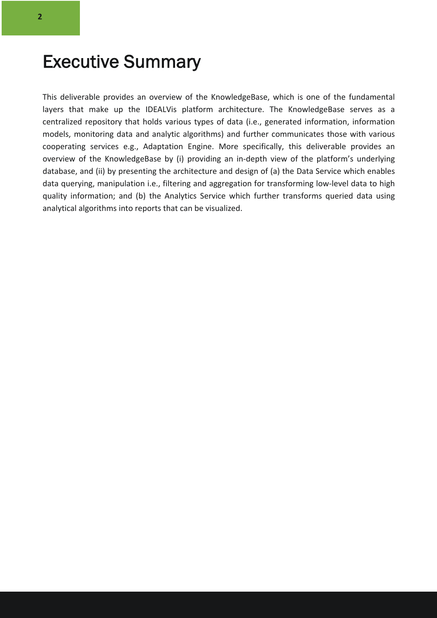## Executive Summary

This deliverable provides an overview of the KnowledgeBase, which is one of the fundamental layers that make up the IDEALVis platform architecture. The KnowledgeBase serves as a centralized repository that holds various types of data (i.e., generated information, information models, monitoring data and analytic algorithms) and further communicates those with various cooperating services e.g., Adaptation Engine. More specifically, this deliverable provides an overview of the KnowledgeBase by (i) providing an in-depth view of the platform's underlying database, and (ii) by presenting the architecture and design of (a) the Data Service which enables data querying, manipulation i.e., filtering and aggregation for transforming low-level data to high quality information; and (b) the Analytics Service which further transforms queried data using analytical algorithms into reports that can be visualized.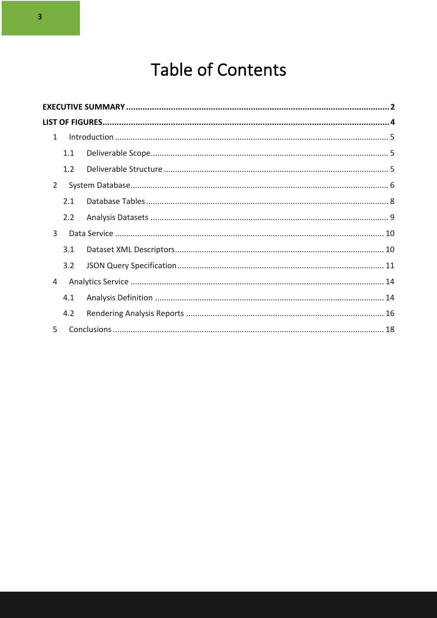## **Table of Contents**

|                | $\mathbf{1}$ |     |  |  |
|----------------|--------------|-----|--|--|
|                |              | 1.1 |  |  |
|                |              | 1.2 |  |  |
| $\overline{2}$ |              |     |  |  |
|                |              | 2.1 |  |  |
|                |              | 2.2 |  |  |
|                | 3            |     |  |  |
|                |              | 3.1 |  |  |
|                |              | 3.2 |  |  |
| 4              |              |     |  |  |
|                |              | 4.1 |  |  |
|                |              | 4.2 |  |  |
|                | 5            |     |  |  |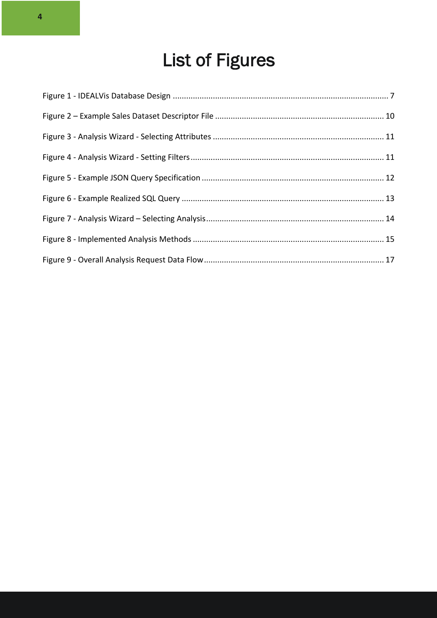## List of Figures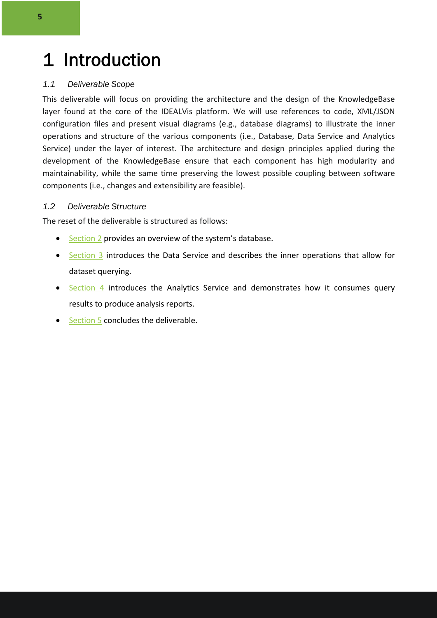## 1 Introduction

#### *1.1 Deliverable Scope*

This deliverable will focus on providing the architecture and the design of the KnowledgeBase layer found at the core of the IDEALVis platform. We will use references to code, XML/JSON configuration files and present visual diagrams (e.g., database diagrams) to illustrate the inner operations and structure of the various components (i.e., Database, Data Service and Analytics Service) under the layer of interest. The architecture and design principles applied during the development of the KnowledgeBase ensure that each component has high modularity and maintainability, while the same time preserving the lowest possible coupling between software components (i.e., changes and extensibility are feasible).

#### *1.2 Deliverable Structure*

The reset of the deliverable is structured as follows:

- Section 2 provides an overview of the system's database.
- Section 3 introduces the Data Service and describes the inner operations that allow for dataset querying.
- Section 4 introduces the Analytics Service and demonstrates how it consumes query results to produce analysis reports.
- Section 5 concludes the deliverable.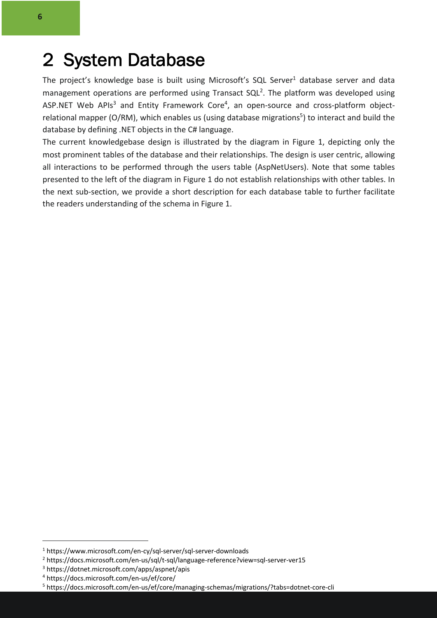The project's knowledge base is built using Microsoft's SQL Server<sup>1</sup> database server and data management operations are performed using Transact  $SQL^2$ . The platform was developed using ASP.NET Web APIs<sup>3</sup> and Entity Framework Core<sup>4</sup>, an open-source and cross-platform objectrelational mapper (O/RM), which enables us (using database migrations<sup>5</sup>) to interact and build the database by defining .NET objects in the C# language.

The current knowledgebase design is illustrated by the diagram in Figure 1, depicting only the most prominent tables of the database and their relationships. The design is user centric, allowing all interactions to be performed through the users table (AspNetUsers). Note that some tables presented to the left of the diagram in Figure 1 do not establish relationships with other tables. In the next sub-section, we provide a short description for each database table to further facilitate the readers understanding of the schema in Figure 1.

<sup>1</sup> https://www.microsoft.com/en-cy/sql-server/sql-server-downloads

<sup>2</sup> https://docs.microsoft.com/en-us/sql/t-sql/language-reference?view=sql-server-ver15

<sup>3</sup> https://dotnet.microsoft.com/apps/aspnet/apis

<sup>4</sup> https://docs.microsoft.com/en-us/ef/core/

<sup>5</sup> https://docs.microsoft.com/en-us/ef/core/managing-schemas/migrations/?tabs=dotnet-core-cli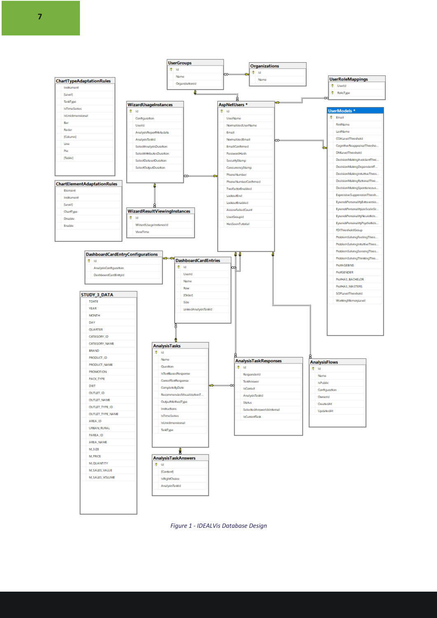**7**



*Figure 1 - IDEALVis Database Design*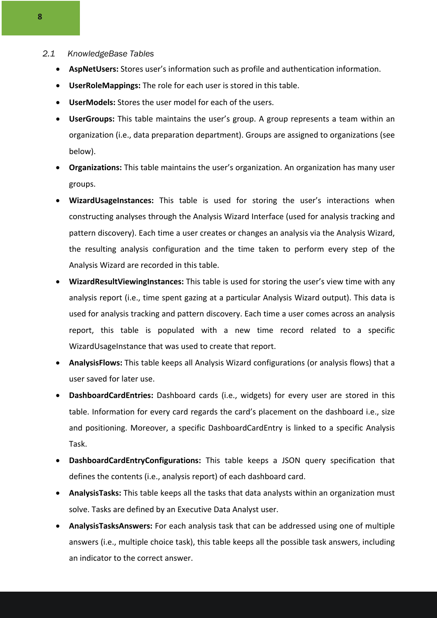#### *2.1 KnowledgeBase Tables*

- **AspNetUsers:** Stores user's information such as profile and authentication information.
- **UserRoleMappings:** The role for each user is stored in this table.
- **UserModels:** Stores the user model for each of the users.
- **UserGroups:** This table maintains the user's group. A group represents a team within an organization (i.e., data preparation department). Groups are assigned to organizations (see below).
- **Organizations:** This table maintains the user's organization. An organization has many user groups.
- **WizardUsageInstances:** This table is used for storing the user's interactions when constructing analyses through the Analysis Wizard Interface (used for analysis tracking and pattern discovery). Each time a user creates or changes an analysis via the Analysis Wizard, the resulting analysis configuration and the time taken to perform every step of the Analysis Wizard are recorded in this table.
- **WizardResultViewingInstances:** This table is used for storing the user's view time with any analysis report (i.e., time spent gazing at a particular Analysis Wizard output). This data is used for analysis tracking and pattern discovery. Each time a user comes across an analysis report, this table is populated with a new time record related to a specific WizardUsageInstance that was used to create that report.
- **AnalysisFlows:** This table keeps all Analysis Wizard configurations (or analysis flows) that a user saved for later use.
- **DashboardCardEntries:** Dashboard cards (i.e., widgets) for every user are stored in this table. Information for every card regards the card's placement on the dashboard i.e., size and positioning. Moreover, a specific DashboardCardEntry is linked to a specific Analysis Task.
- **DashboardCardEntryConfigurations:** This table keeps a JSON query specification that defines the contents (i.e., analysis report) of each dashboard card.
- **AnalysisTasks:** This table keeps all the tasks that data analysts within an organization must solve. Tasks are defined by an Executive Data Analyst user.
- **AnalysisTasksAnswers:** For each analysis task that can be addressed using one of multiple answers (i.e., multiple choice task), this table keeps all the possible task answers, including an indicator to the correct answer.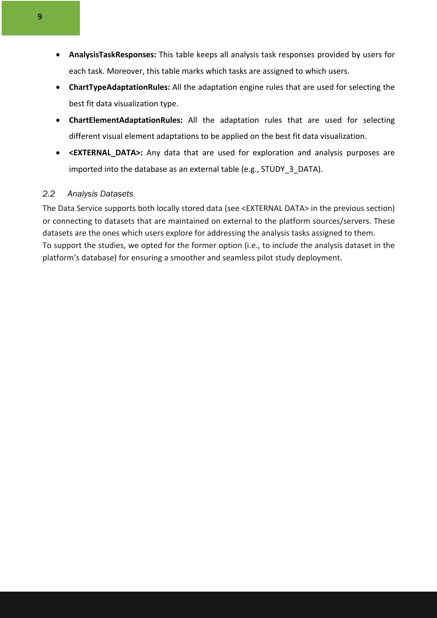- **AnalysisTaskResponses:** This table keeps all analysis task responses provided by users for each task. Moreover, this table marks which tasks are assigned to which users.
- **ChartTypeAdaptationRules:** All the adaptation engine rules that are used for selecting the best fit data visualization type.
- **ChartElementAdaptationRules:** All the adaptation rules that are used for selecting different visual element adaptations to be applied on the best fit data visualization.
- **<EXTERNAL\_DATA>:** Any data that are used for exploration and analysis purposes are imported into the database as an external table (e.g., STUDY\_3\_DATA).

#### *2.2 Analysis Datasets*

The Data Service supports both locally stored data (see <EXTERNAL DATA> in the previous section) or connecting to datasets that are maintained on external to the platform sources/servers. These datasets are the ones which users explore for addressing the analysis tasks assigned to them. To support the studies, we opted for the former option (i.e., to include the analysis dataset in the platform's database) for ensuring a smoother and seamless pilot study deployment.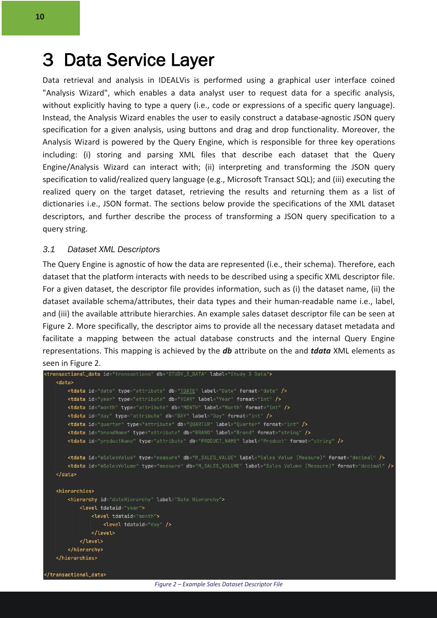### 3 Data Service Layer

Data retrieval and analysis in IDEALVis is performed using a graphical user interface coined "Analysis Wizard", which enables a data analyst user to request data for a specific analysis, without explicitly having to type a query (i.e., code or expressions of a specific query language). Instead, the Analysis Wizard enables the user to easily construct a database-agnostic JSON query specification for a given analysis, using buttons and drag and drop functionality. Moreover, the Analysis Wizard is powered by the Query Engine, which is responsible for three key operations including: (i) storing and parsing XML files that describe each dataset that the Query Engine/Analysis Wizard can interact with; (ii) interpreting and transforming the JSON query specification to valid/realized query language (e.g., Microsoft Transact SQL); and (iii) executing the realized query on the target dataset, retrieving the results and returning them as a list of dictionaries i.e., JSON format. The sections below provide the specifications of the XML dataset descriptors, and further describe the process of transforming a JSON query specification to a query string.

#### *3.1 Dataset XML Descriptors*

The Query Engine is agnostic of how the data are represented (i.e., their schema). Therefore, each dataset that the platform interacts with needs to be described using a specific XML descriptor file. For a given dataset, the descriptor file provides information, such as (i) the dataset name, (ii) the dataset available schema/attributes, their data types and their human-readable name i.e., label, and (iii) the available attribute hierarchies. An example sales dataset descriptor file can be seen at Figure 2. More specifically, the descriptor aims to provide all the necessary dataset metadata and facilitate a mapping between the actual database constructs and the internal Query Engine representations. This mapping is achieved by the *db* attribute on the and *tdata* XML elements as seen in Figure 2.

```
<transactional_data id="transactions" db="STUDY_3_DATA" label="Study 3 Data">
   <data>
        <tdata id="date" type="attribute" db="TDATE" label="Date" format="date" />
        <tdata id="year" type="attribute" db="YEAR" label="Year" format="int" />
        <tdata id="month" type="attribute" db="MONTH" label="Month" format="int" />
        <tdata id="day" type="attribute" db="DAY" label="Day" format="int" />
        <tdata id="quarter" type="attribute" db="QUARTER" label="Quarter" format="int" />
        <tdata id="brandName" type="attribute" db="BRAND" label="Brand" format="string" />
        <tdata id="productName" type="attribute" db="PRODUCT_NAME" label="Product" format="string" />
        <tdata id="mSalesValue" type="measure" db="M_SALES_VALUE" label="Sales Value (Measure)" format="decimal" />
        <tdata id="mSalesVolume" type="measure" db="M_SALES_VOLUME" label="Sales Volume (Measure)" format="decimal" />
   </data>
   <hierarchies>
        <hierarchy id="dateHierarchy" label="Date Hierarchy">
           <level tdataid="year">
               <level tdataid="month">
                   <level tdataid="day" />
               </level>
           </level>
        </hierarchy>
   </hierarchies>
 /transactional_data>
```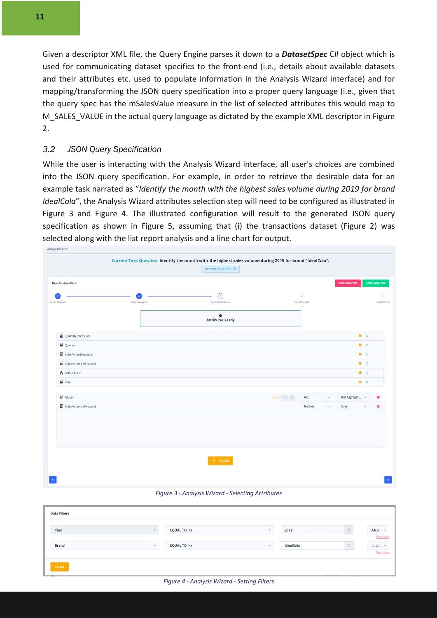Given a descriptor XML file, the Query Engine parses it down to a *DatasetSpec* C# object which is used for communicating dataset specifics to the front-end (i.e., details about available datasets and their attributes etc. used to populate information in the Analysis Wizard interface) and for mapping/transforming the JSON query specification into a proper query language (i.e., given that the query spec has the mSalesValue measure in the list of selected attributes this would map to M SALES VALUE in the actual query language as dictated by the example XML descriptor in Figure 2.

#### *3.2 JSON Query Specification*

While the user is interacting with the Analysis Wizard interface, all user's choices are combined into the JSON query specification. For example, in order to retrieve the desirable data for an example task narrated as "*Identify the month with the highest sales volume during 2019 for brand IdealCola*", the Analysis Wizard attributes selection step will need to be configured as illustrated in Figure 3 and Figure 4. The illustrated configuration will result to the generated JSON query specification as shown in Figure 5, assuming that (i) the transactions dataset (Figure 2) was selected along with the list report analysis and a line chart for output.

| <b>SAVE ANALYSIS</b><br>Final Result |
|--------------------------------------|
|                                      |
|                                      |
|                                      |
| $\bullet$ $\circ$                    |
| $\bullet$ $\circ$                    |
| $\bullet$ $\circ$                    |
| $\bullet$ $\circ$                    |
| $\bullet$ $\circ$                    |
| $\bullet$ $\circ$                    |
| Not Aggregati<br>۰                   |
| ۰<br>v.                              |
|                                      |

*Figure 3 - Analysis Wizard - Selecting Attributes*

| Data Filters<br>11 - 12 - 12 12 12 12 13 |               |                |            |           |                 |                               |
|------------------------------------------|---------------|----------------|------------|-----------|-----------------|-------------------------------|
| Year                                     | $\mathcal{L}$ | EQUAL TO $(=)$ | $\omega$   | 2019      |                 | AND<br>$\checkmark$<br>Remove |
| Brand                                    | $\omega$      | EQUAL TO (=)   | $\omega^-$ | IdealCola |                 | Logi<br>$\sim$<br>Remove      |
| <b>CLOSE</b><br>and the contract of the  |               |                |            |           | <b>ALCOHOL:</b> |                               |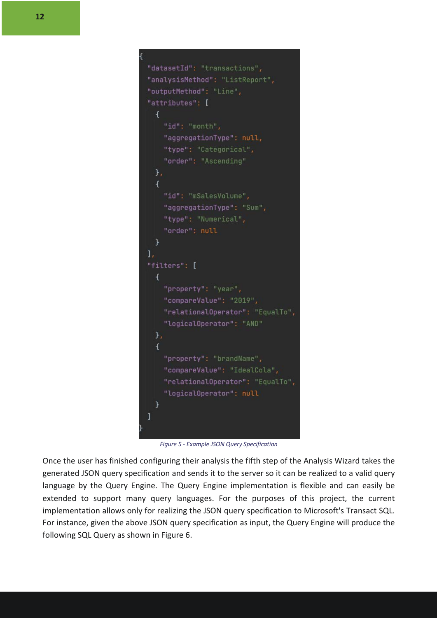```
"datasetId": "transactions",
"analysisMethod": "ListReport",
"outputMethod": "Line",
"attributes": [
  \mathcal{A}"id": "month",
    "aggregationType": null,
    "type": "Categorical",
    "order": "Ascending"
  \mathcal{F}\overline{A}"id": "mSalesVolume",
    "aggregationType": "Sum",
     "type": "Numerical",
    "order": null
  \rightarrow1<sub>r</sub>"filters": [
 \mathcal{A}"property": "year",
    "compareValue": "2019",
    "relationalOperator": "EqualTo",
    "logicalOperator": "AND"
  \mathcal{F}_{\mathcal{F}}\overline{A}"property": "brandName",
    "compareValue": "IdealCola",
    "relationalOperator": "EqualTo",
    "logicalOperator": null
  \mathcal{F}\overline{1}
```
*Figure 5 - Example JSON Query Specification*

Once the user has finished configuring their analysis the fifth step of the Analysis Wizard takes the generated JSON query specification and sends it to the server so it can be realized to a valid query language by the Query Engine. The Query Engine implementation is flexible and can easily be extended to support many query languages. For the purposes of this project, the current implementation allows only for realizing the JSON query specification to Microsoft's Transact SQL. For instance, given the above JSON query specification as input, the Query Engine will produce the following SQL Query as shown in Figure 6.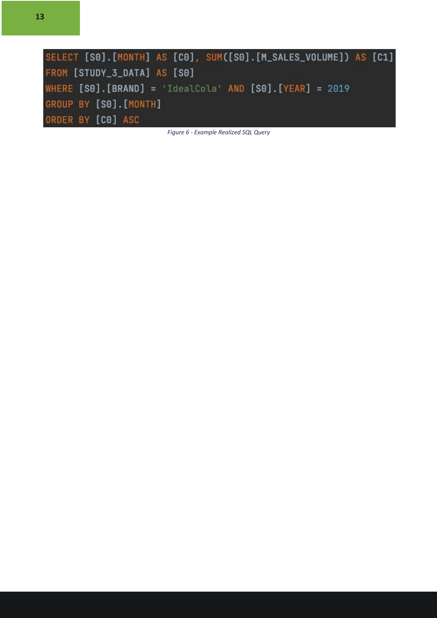| SELECT [S0] [MONTH] AS [C0], SUM([S0] [M_SALES_VOLUME]) AS [C1]   |  |
|-------------------------------------------------------------------|--|
| FROM [STUDY_3_DATA] AS [S0]                                       |  |
| WHERE $[SO]$ . $[BRAND] = 'IdealCola' AND [SO]$ . $[YEAR] = 2019$ |  |
| GROUP BY [SO]. [MONTH]                                            |  |
| ORDER BY [CO] ASC                                                 |  |

*Figure 6 - Example Realized SQL Query*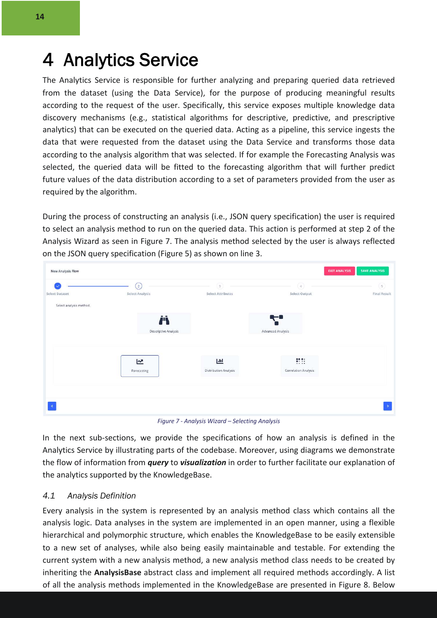## 4 Analytics Service

The Analytics Service is responsible for further analyzing and preparing queried data retrieved from the dataset (using the Data Service), for the purpose of producing meaningful results according to the request of the user. Specifically, this service exposes multiple knowledge data discovery mechanisms (e.g., statistical algorithms for descriptive, predictive, and prescriptive analytics) that can be executed on the queried data. Acting as a pipeline, this service ingests the data that were requested from the dataset using the Data Service and transforms those data according to the analysis algorithm that was selected. If for example the Forecasting Analysis was selected, the queried data will be fitted to the forecasting algorithm that will further predict future values of the data distribution according to a set of parameters provided from the user as required by the algorithm.

During the process of constructing an analysis (i.e., JSON query specification) the user is required to select an analysis method to run on the queried data. This action is performed at step 2 of the Analysis Wizard as seen in Figure 7. The analysis method selected by the user is always reflected on the JSON query specification (Figure 5) as shown on line 3.

| New Analysis Flow       |                      |                              | <b>EXIT ANALYSIS</b>         | <b>SAVE ANALYSIS</b> |
|-------------------------|----------------------|------------------------------|------------------------------|----------------------|
|                         | $\left( 2\right)$    | $\sqrt{3}$                   | $\left( \overline{a}\right)$ | $\sqrt{5}$           |
| Select Dataset          | Select Analysis      | <b>Select Attributes</b>     | Select Output                | <b>Final Result</b>  |
| Select analysis method. |                      |                              |                              |                      |
|                         |                      |                              | $\leftarrow$                 |                      |
|                         | ij.                  |                              |                              |                      |
|                         | Descriptive Analysis |                              | Advanced Analysis            |                      |
|                         |                      |                              |                              |                      |
|                         |                      |                              |                              |                      |
|                         | 년                    | ΔШ                           | $\mathbf{H}$                 |                      |
|                         | Forecasting          | <b>Distribution Analysis</b> | <b>Correlation Analysis</b>  |                      |
|                         |                      |                              |                              |                      |
|                         |                      |                              |                              |                      |
|                         |                      |                              |                              |                      |
| $\blacksquare$          |                      |                              |                              | $\mathbf b$          |
|                         |                      |                              |                              |                      |

*Figure 7 - Analysis Wizard – Selecting Analysis*

In the next sub-sections, we provide the specifications of how an analysis is defined in the Analytics Service by illustrating parts of the codebase. Moreover, using diagrams we demonstrate the flow of information from *query* to *visualization* in order to further facilitate our explanation of the analytics supported by the KnowledgeBase.

#### *4.1 Analysis Definition*

Every analysis in the system is represented by an analysis method class which contains all the analysis logic. Data analyses in the system are implemented in an open manner, using a flexible hierarchical and polymorphic structure, which enables the KnowledgeBase to be easily extensible to a new set of analyses, while also being easily maintainable and testable. For extending the current system with a new analysis method, a new analysis method class needs to be created by inheriting the **AnalysisBase** abstract class and implement all required methods accordingly. A list of all the analysis methods implemented in the KnowledgeBase are presented in Figure 8. Below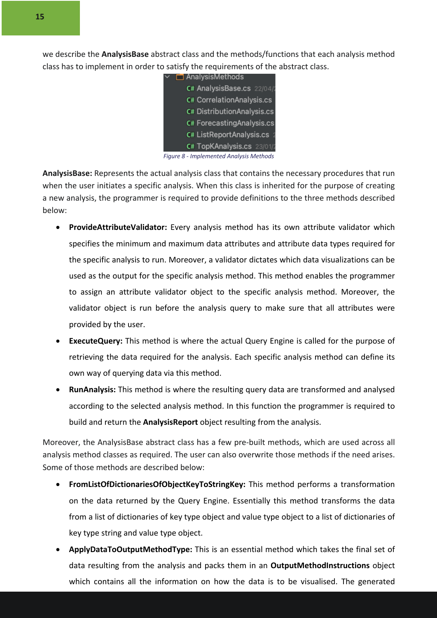we describe the **AnalysisBase** abstract class and the methods/functions that each analysis method class has to implement in order to satisfy the requirements of the abstract class.

| $\Box$ AnalysisMethods                                                                                                                                                                                                                                                                                                                      |
|---------------------------------------------------------------------------------------------------------------------------------------------------------------------------------------------------------------------------------------------------------------------------------------------------------------------------------------------|
| C# AnalysisBase.cs 22/04/2                                                                                                                                                                                                                                                                                                                  |
| <b>C# CorrelationAnalysis.cs</b>                                                                                                                                                                                                                                                                                                            |
| <b>C# DistributionAnalysis.cs</b>                                                                                                                                                                                                                                                                                                           |
| C# Forecasting Analysis.cs                                                                                                                                                                                                                                                                                                                  |
| C# ListReportAnalysis.cs 2                                                                                                                                                                                                                                                                                                                  |
| C# TopKAnalysis.cs 23/01/2                                                                                                                                                                                                                                                                                                                  |
| $\circ$ $\qquad$ $\qquad$ $\qquad$ $\qquad$ $\qquad$ $\qquad$ $\qquad$ $\qquad$ $\qquad$ $\qquad$ $\qquad$ $\qquad$ $\qquad$ $\qquad$ $\qquad$ $\qquad$ $\qquad$ $\qquad$ $\qquad$ $\qquad$ $\qquad$ $\qquad$ $\qquad$ $\qquad$ $\qquad$ $\qquad$ $\qquad$ $\qquad$ $\qquad$ $\qquad$ $\qquad$ $\qquad$ $\qquad$ $\qquad$ $\qquad$ $\qquad$ |

*Figure 8 - Implemented Analysis Methods*

**AnalysisBase:** Represents the actual analysis class that contains the necessary procedures that run when the user initiates a specific analysis. When this class is inherited for the purpose of creating a new analysis, the programmer is required to provide definitions to the three methods described below:

- **ProvideAttributeValidator:** Every analysis method has its own attribute validator which specifies the minimum and maximum data attributes and attribute data types required for the specific analysis to run. Moreover, a validator dictates which data visualizations can be used as the output for the specific analysis method. This method enables the programmer to assign an attribute validator object to the specific analysis method. Moreover, the validator object is run before the analysis query to make sure that all attributes were provided by the user.
- **ExecuteQuery:** This method is where the actual Query Engine is called for the purpose of retrieving the data required for the analysis. Each specific analysis method can define its own way of querying data via this method.
- **RunAnalysis:** This method is where the resulting query data are transformed and analysed according to the selected analysis method. In this function the programmer is required to build and return the **AnalysisReport** object resulting from the analysis.

Moreover, the AnalysisBase abstract class has a few pre-built methods, which are used across all analysis method classes as required. The user can also overwrite those methods if the need arises. Some of those methods are described below:

- **FromListOfDictionariesOfObjectKeyToStringKey:** This method performs a transformation on the data returned by the Query Engine. Essentially this method transforms the data from a list of dictionaries of key type object and value type object to a list of dictionaries of key type string and value type object.
- **ApplyDataToOutputMethodType:** This is an essential method which takes the final set of data resulting from the analysis and packs them in an **OutputMethodInstructions** object which contains all the information on how the data is to be visualised. The generated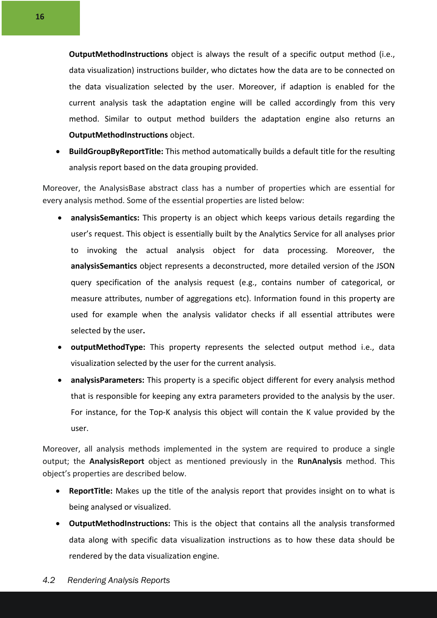**OutputMethodInstructions** object is always the result of a specific output method (i.e., data visualization) instructions builder, who dictates how the data are to be connected on the data visualization selected by the user. Moreover, if adaption is enabled for the current analysis task the adaptation engine will be called accordingly from this very method. Similar to output method builders the adaptation engine also returns an **OutputMethodInstructions** object.

• **BuildGroupByReportTitle:** This method automatically builds a default title for the resulting analysis report based on the data grouping provided.

Moreover, the AnalysisBase abstract class has a number of properties which are essential for every analysis method. Some of the essential properties are listed below:

- **analysisSemantics:** This property is an object which keeps various details regarding the user's request. This object is essentially built by the Analytics Service for all analyses prior to invoking the actual analysis object for data processing. Moreover, the **analysisSemantics** object represents a deconstructed, more detailed version of the JSON query specification of the analysis request (e.g., contains number of categorical, or measure attributes, number of aggregations etc). Information found in this property are used for example when the analysis validator checks if all essential attributes were selected by the user**.**
- **outputMethodType:** This property represents the selected output method i.e., data visualization selected by the user for the current analysis.
- **analysisParameters:** This property is a specific object different for every analysis method that is responsible for keeping any extra parameters provided to the analysis by the user. For instance, for the Top-K analysis this object will contain the K value provided by the user.

Moreover, all analysis methods implemented in the system are required to produce a single output; the **AnalysisReport** object as mentioned previously in the **RunAnalysis** method. This object's properties are described below.

- **ReportTitle:** Makes up the title of the analysis report that provides insight on to what is being analysed or visualized.
- **OutputMethodInstructions:** This is the object that contains all the analysis transformed data along with specific data visualization instructions as to how these data should be rendered by the data visualization engine.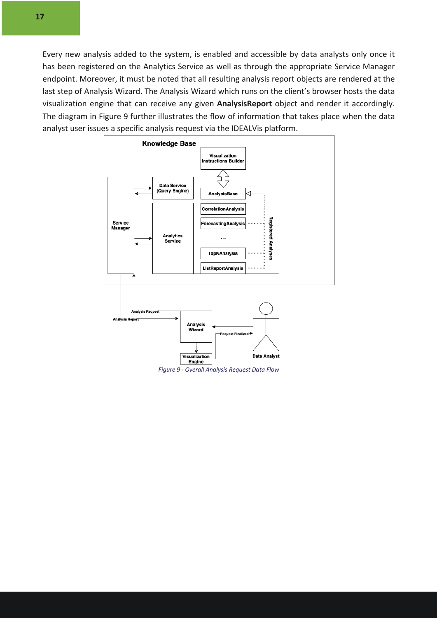Every new analysis added to the system, is enabled and accessible by data analysts only once it has been registered on the Analytics Service as well as through the appropriate Service Manager endpoint. Moreover, it must be noted that all resulting analysis report objects are rendered at the last step of Analysis Wizard. The Analysis Wizard which runs on the client's browser hosts the data visualization engine that can receive any given **AnalysisReport** object and render it accordingly. The diagram in Figure 9 further illustrates the flow of information that takes place when the data analyst user issues a specific analysis request via the IDEALVis platform.



*Figure 9 - Overall Analysis Request Data Flow*